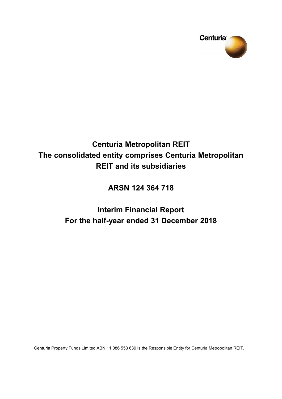

# **Centuria Metropolitan REIT The consolidated entity comprises Centuria Metropolitan REIT and its subsidiaries**

**ARSN 124 364 718**

# **Interim Financial Report For the half-year ended 31 December 2018**

Centuria Property Funds Limited ABN 11 086 553 639 is the Responsible Entity for Centuria Metropolitan REIT.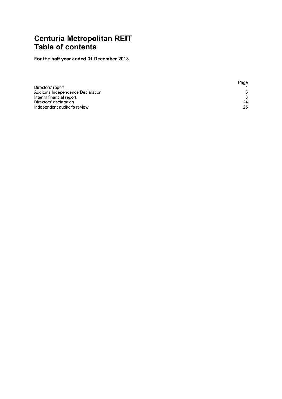# **Centuria Metropolitan REIT Table of contents**

# **For the half year ended 31 December 2018**

|                                    | Page |
|------------------------------------|------|
| Directors' report                  |      |
| Auditor's Independence Declaration | .5   |
| Interim financial report           | 6    |
| Directors' declaration             | 24   |
| Independent auditor's review       | 25   |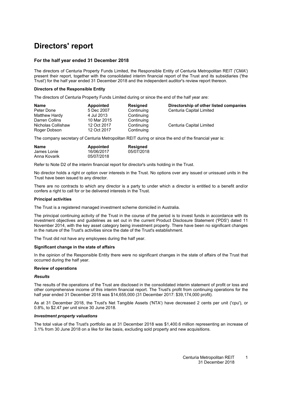# <span id="page-2-0"></span>**Directors' report**

#### **For the half year ended 31 December 2018**

The directors of Centuria Property Funds Limited, the Responsible Entity of Centuria Metropolitan REIT ('CMA') present their report, together with the consolidated interim financial report of the Trust and its subsidiaries ('the Trust') for the half year ended 31 December 2018 and the independent auditor's review report thereon.

#### **Directors of the Responsible Entity**

The directors of Centuria Property Funds Limited during or since the end of the half year are:

| <b>Name</b>        | Appointed   | <b>Resigned</b> | Directorship of other listed companies |
|--------------------|-------------|-----------------|----------------------------------------|
| Peter Done         | 5 Dec 2007  | Continuing      | Centuria Capital Limited               |
| Matthew Hardy      | 4 Jul 2013  | Continuing      |                                        |
| Darren Collins     | 10 Mar 2015 | Continuing      |                                        |
| Nicholas Collishaw | 12 Oct 2017 | Continuing      | Centuria Capital Limited               |
| Roger Dobson       | 12 Oct 2017 | Continuing      |                                        |

The company secretary of Centuria Metropolitan REIT during or since the end of the financial year is:

| <b>Name</b>  | Appointed  | Resigned   |
|--------------|------------|------------|
| James Lonie  | 16/06/2017 | 05/07/2018 |
| Anna Kovarik | 05/07/2018 |            |

Refer to Note D2 of the interim financial report for director's units holding in the Trust.

No director holds a right or option over interests in the Trust. No options over any issued or unissued units in the Trust have been issued to any director.

There are no contracts to which any director is a party to under which a director is entitled to a benefit and/or confers a right to call for or be delivered interests in the Trust.

#### **Principal activities**

The Trust is a registered managed investment scheme domiciled in Australia.

The principal continuing activity of the Trust in the course of the period is to invest funds in accordance with its investment objectives and guidelines as set out in the current Product Disclosure Statement ('PDS') dated 11 November 2014, with the key asset category being investment property. There have been no significant changes in the nature of the Trust's activities since the date of the Trust's establishment.

The Trust did not have any employees during the half year.

#### **Significant change in the state of affairs**

In the opinion of the Responsible Entity there were no significant changes in the state of affairs of the Trust that occurred during the half year.

#### **Review of operations**

#### *Results*

The results of the operations of the Trust are disclosed in the consolidated interim statement of profit or loss and other comprehensive income of this interim financial report. The Trust's profit from continuing operations for the half year ended 31 December 2018 was \$14,655,000 (31 December 2017: \$39,174,000 profit).

As at 31 December 2018, the Trust's Net Tangible Assets ('NTA') have decreased 2 cents per unit ('cpu'), or 0.8%, to \$2.47 per unit since 30 June 2018.

#### *Investment property valuations*

The total value of the Trust's portfolio as at 31 December 2018 was \$1,400.6 million representing an increase of 3.1% from 30 June 2018 on a like for like basis, excluding sold property and new acquisitions.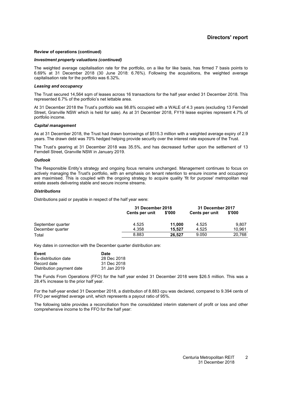#### **Review of operations (continued)**

#### *Investment property valuations (continued)*

The weighted average capitalisation rate for the portfolio, on a like for like basis, has firmed 7 basis points to 6.69% at 31 December 2018 (30 June 2018: 6.76%). Following the acquisitions, the weighted average capitalisation rate for the portfolio was 6.32%.

#### *Leasing and occupancy*

The Trust secured 14,564 sqm of leases across 16 transactions for the half year ended 31 December 2018. This represented 6.7% of the portfolio's net lettable area.

At 31 December 2018 the Trust's portfolio was 98.8% occupied with a WALE of 4.3 years (excluding 13 Ferndell Street, Granville NSW which is held for sale). As at 31 December 2018, FY19 lease expiries represent 4.7% of portfolio income.

#### *Capital management*

As at 31 December 2018, the Trust had drawn borrowings of \$515.3 million with a weighted average expiry of 2.9 years. The drawn debt was 70% hedged helping provide security over the interest rate exposure of the Trust.

The Trust's gearing at 31 December 2018 was 35.5%, and has decreased further upon the settlement of 13 Ferndell Street, Granville NSW in January 2019.

#### *Outlook*

The Responsible Entity's strategy and ongoing focus remains unchanged. Management continues to focus on actively managing the Trust's portfolio, with an emphasis on tenant retention to ensure income and occupancy are maximised. This is coupled with the ongoing strategy to acquire quality 'fit for purpose' metropolitan real estate assets delivering stable and secure income streams.

#### *Distributions*

Distributions paid or payable in respect of the half year were:

|                   | 31 December 2018 |        | 31 December 2017 |        |
|-------------------|------------------|--------|------------------|--------|
|                   | Cents per unit   | \$'000 | Cents per unit   | \$'000 |
| September quarter | 4.525            | 11.000 | 4.525            | 9.807  |
| December quarter  | 4.358            | 15.527 | 4.525            | 10.961 |
| Total             | 8.883            | 26.527 | 9.050            | 20.768 |

Key dates in connection with the December quarter distribution are:

| Event                     | <b>Date</b> |
|---------------------------|-------------|
| Ex-distribution date      | 28 Dec 2018 |
| Record date               | 31 Dec 2018 |
| Distribution payment date | 31 Jan 2019 |

The Funds From Operations (FFO) for the half year ended 31 December 2018 were \$26.5 million. This was a 28.4% increase to the prior half year.

For the half-year ended 31 December 2018, a distribution of 8.883 cpu was declared, compared to 9.394 cents of FFO per weighted average unit, which represents a payout ratio of 95%.

The following table provides a reconciliation from the consolidated interim statement of profit or loss and other comprehensive income to the FFO for the half year: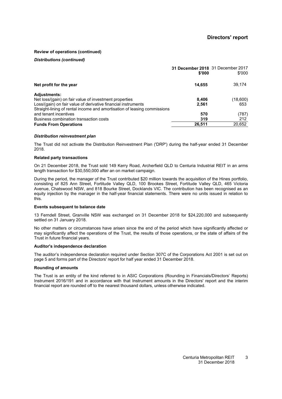#### **Review of operations (continued)**

#### *Distributions (continued)*

|                                                                          | 31 December 2018 31 December 2017<br>\$'000 | \$'000   |
|--------------------------------------------------------------------------|---------------------------------------------|----------|
| Net profit for the year                                                  | 14,655                                      | 39,174   |
| <b>Adjustments:</b>                                                      |                                             |          |
| Net loss/(gain) on fair value of investment properties                   | 8,406                                       | (18,600) |
| Loss/(gain) on fair value of derivative financial instruments            | 2,561                                       | 653      |
| Straight-lining of rental income and amortisation of leasing commissions |                                             |          |
| and tenant incentives                                                    | 570                                         | (787)    |
| Business combination transaction costs                                   | 319                                         | 212      |
| <b>Funds From Operations</b>                                             | 26,511                                      | 20,652   |

#### *Distribution reinvestment plan*

The Trust did not activate the Distribution Reinvestment Plan ('DRP') during the half-year ended 31 December 2018.

#### **Related party transactions**

On 21 December 2018, the Trust sold 149 Kerry Road, Archerfield QLD to Centuria Industrial REIT in an arms length transaction for \$30,550,000 after an on market campaign.

During the period, the manager of the Trust contributed \$20 million towards the acquisition of the Hines portfolio, consisting of 825 Ann Street, Fortitude Valley QLD, 100 Brookes Street, Fortitude Valley QLD, 465 Victoria Avenue, Chatswood NSW, and 818 Bourke Street, Docklands VIC. The contribution has been recognised as an equity injection by the manager in the half-year financial statements. There were no units issued in relation to this.

#### **Events subsequent to balance date**

13 Ferndell Street, Granville NSW was exchanged on 31 December 2018 for \$24,220,000 and subsequently settled on 31 January 2018.

No other matters or circumstances have arisen since the end of the period which have significantly affected or may significantly affect the operations of the Trust, the results of those operations, or the state of affairs of the Trust in future financial years.

#### **Auditor's independence declaration**

The auditor's independence declaration required under Section 307C of the Corporations Act 2001 is set out on page [5](#page--1-0) and forms part of the Directors' report for half year ended 31 December 2018.

#### **Rounding of amounts**

The Trust is an entity of the kind referred to in ASIC Corporations (Rounding in Financials/Directors' Reports) Instrument 2016/191 and in accordance with that Instrument amounts in the Directors' report and the interim financial report are rounded off to the nearest thousand dollars, unless otherwise indicated.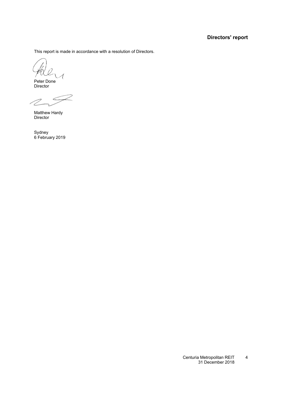### **Directors' report**

This report is made in accordance with a resolution of Directors.

Peter Done Director

Matthew Hardy Director

Sydney 6 February 2019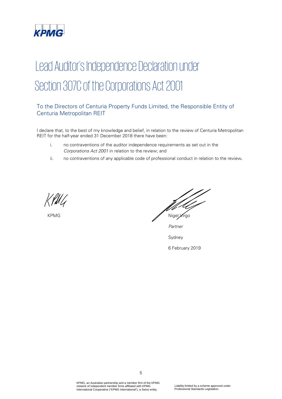

# Lead Auditor's Independence Declaration under Section 307C of the Corporations Act 2001

### To the Directors of Centuria Property Funds Limited, the Responsible Entity of Centuria Metropolitan REIT

I declare that, to the best of my knowledge and belief, in relation to the review of Centuria Metropolitan REIT for the half-year ended 31 December 2018 there have been:

- i. no contraventions of the auditor independence requirements as set out in the Corporations Act 2001 in relation to the review; and
- ii. no contraventions of any applicable code of professional conduct in relation to the review.

*PAR\_SIG\_01 PAR\_NAM\_01 PAR\_POS\_01 PAR\_DAT\_01 PAR\_CIT\_01*

KPMG Nigel Virgo

Partner

Sydney

6 February 2019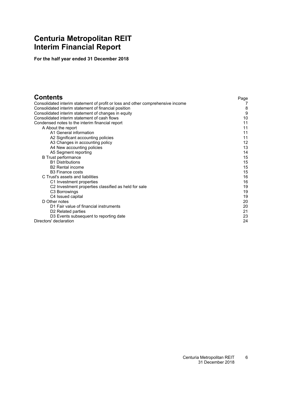# <span id="page-7-0"></span>**Centuria Metropolitan REIT Interim Financial Report**

**For the half year ended 31 December 2018**

| <b>Contents</b>                                                                 | Page |
|---------------------------------------------------------------------------------|------|
| Consolidated interim statement of profit or loss and other comprehensive income |      |
| Consolidated interim statement of financial position                            | 8    |
| Consolidated interim statement of changes in equity                             | 9    |
| Consolidated interim statement of cash flows                                    | 10   |
| Condensed notes to the interim financial report                                 | 11   |
| A About the report                                                              | 11   |
| A1 General information                                                          | 11   |
| A2 Significant accounting policies                                              | 11   |
| A3 Changes in accounting policy                                                 | 12   |
| A4 New accounting policies                                                      | 13   |
| A5 Segment reporting                                                            | 14   |
| <b>B</b> Trust performance                                                      | 15   |
| <b>B1 Distributions</b>                                                         | 15   |
| <b>B2</b> Rental income                                                         | 15   |
| <b>B3 Finance costs</b>                                                         | 15   |
| C Trust's assets and liabilities                                                | 16   |
| C1 Investment properties                                                        | 16   |
| C <sub>2</sub> Investment properties classified as held for sale                | 19   |
| C <sub>3</sub> Borrowings                                                       | 19   |
| C4 Issued capital                                                               | 19   |
| D Other notes                                                                   | 20   |
| D1 Fair value of financial instruments                                          | 20   |
| D <sub>2</sub> Related parties                                                  | 21   |
| D3 Events subsequent to reporting date                                          | 23   |
| Directors' declaration                                                          | 24   |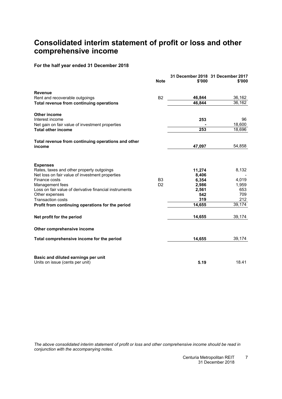# <span id="page-8-0"></span>**Consolidated interim statement of profit or loss and other comprehensive income**

**For the half year ended 31 December 2018**

|                                                                                                                                  | <b>Note</b>    | \$'000                   | 31 December 2018 31 December 2017<br>\$'000 |
|----------------------------------------------------------------------------------------------------------------------------------|----------------|--------------------------|---------------------------------------------|
| <b>Revenue</b>                                                                                                                   |                |                          |                                             |
| Rent and recoverable outgoings                                                                                                   | <b>B2</b>      | 46,844                   | 36,162                                      |
| Total revenue from continuing operations                                                                                         |                | 46,844                   | 36,162                                      |
| <b>Other income</b>                                                                                                              |                |                          |                                             |
| Interest income                                                                                                                  |                | 253                      | 96                                          |
| Net gain on fair value of investment properties                                                                                  |                |                          | 18,600                                      |
| <b>Total other income</b>                                                                                                        |                | 253                      | 18,696                                      |
| Total revenue from continuing operations and other                                                                               |                |                          |                                             |
| income                                                                                                                           |                | 47,097                   | 54,858                                      |
| <b>Expenses</b><br>Rates, taxes and other property outgoings<br>Net loss on fair value of investment properties<br>Finance costs | B <sub>3</sub> | 11,274<br>8,406<br>6,354 | 8,132<br>4,019                              |
| Management fees                                                                                                                  | D <sub>2</sub> | 2,986                    | 1,959                                       |
| Loss on fair value of derivative financial instruments                                                                           |                | 2,561<br>542             | 653<br>709                                  |
| Other expenses<br><b>Transaction costs</b>                                                                                       |                | 319                      | 212                                         |
| Profit from continuing operations for the period                                                                                 |                | 14,655                   | 39,174                                      |
| Net profit for the period                                                                                                        |                | 14,655                   | 39,174                                      |
| Other comprehensive income                                                                                                       |                |                          |                                             |
| Total comprehensive income for the period                                                                                        |                | 14,655                   | 39,174                                      |
| Basic and diluted earnings per unit<br>Units on issue (cents per unit)                                                           |                | 5.19                     | 18.41                                       |

The above consolidated interim statement of profit or loss and other comprehensive income should be read in *conjunction with the accompanying notes.*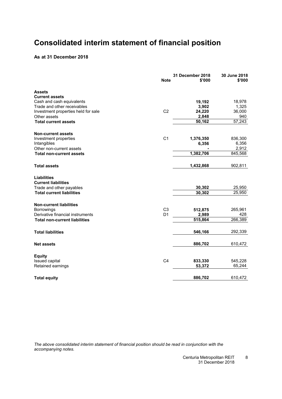# <span id="page-9-0"></span>**Consolidated interim statement of financial position**

#### **As at 31 December 2018**

|                                      | <b>Note</b>    | 31 December 2018<br>\$'000 | 30 June 2018<br>\$'000 |
|--------------------------------------|----------------|----------------------------|------------------------|
| Assets                               |                |                            |                        |
| <b>Current assets</b>                |                |                            |                        |
| Cash and cash equivalents            |                | 19,192                     | 18,978                 |
| Trade and other receivables          |                | 3,902                      | 1,325                  |
| Investment properties held for sale  | C <sub>2</sub> | 24,220                     | 36,000                 |
| Other assets                         |                | 2,848                      | 940<br>57,243          |
| <b>Total current assets</b>          |                | 50,162                     |                        |
| <b>Non-current assets</b>            |                |                            |                        |
| Investment properties                | C <sub>1</sub> | 1,376,350                  | 836,300                |
| Intangibles                          |                | 6,356                      | 6,356                  |
| Other non-current assets             |                |                            | 2,912                  |
| <b>Total non-current assets</b>      |                | 1,382,706                  | 845,568                |
| <b>Total assets</b>                  |                | 1,432,868                  | 902,811                |
| <b>Liabilities</b>                   |                |                            |                        |
| <b>Current liabilities</b>           |                |                            |                        |
| Trade and other payables             |                | 30,302                     | 25,950                 |
| <b>Total current liabilities</b>     |                | 30,302                     | 25,950                 |
| <b>Non-current liabilities</b>       |                |                            |                        |
| Borrowings                           | C <sub>3</sub> | 512,875                    | 265,961                |
| Derivative financial instruments     | D <sub>1</sub> | 2,989                      | 428                    |
| <b>Total non-current liabilities</b> |                | 515,864                    | 266,389                |
| <b>Total liabilities</b>             |                | 546,166                    | 292,339                |
| <b>Net assets</b>                    |                | 886,702                    | 610,472                |
|                                      |                |                            |                        |
| <b>Equity</b><br>Issued capital      | C <sub>4</sub> | 833,330                    | 545,228                |
| Retained earnings                    |                | 53,372                     | 65,244                 |
|                                      |                |                            |                        |
| <b>Total equity</b>                  |                | 886,702                    | 610,472                |

*The above consolidated interim statement of financial position should be read in conjunction with the accompanying notes.*

> Centuria Metropolitan REIT 31 December 2018 8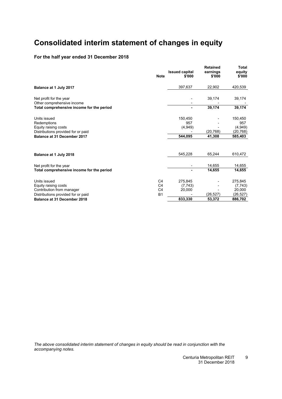# <span id="page-10-0"></span>**Consolidated interim statement of changes in equity**

### **For the half year ended 31 December 2018**

|                                                                         | <b>Note</b>    | <b>Issued capital</b><br>\$'000 | <b>Retained</b><br>earnings<br>\$'000 | Total<br>equity<br>\$'000 |
|-------------------------------------------------------------------------|----------------|---------------------------------|---------------------------------------|---------------------------|
| Balance at 1 July 2017                                                  |                | 397,637                         | 22,902                                | 420,539                   |
| Net profit for the year                                                 |                |                                 | 39,174                                | 39,174                    |
| Other comprehensive income<br>Total comprehensive income for the period |                | ۰                               | 39,174                                | 39,174                    |
| Units issued                                                            |                | 150,450                         |                                       | 150,450                   |
| Redemptions                                                             |                | 957                             |                                       | 957                       |
| Equity raising costs                                                    |                | (4,949)                         |                                       | (4,949)                   |
| Distributions provided for or paid<br>Balance at 31 December 2017       |                | 544.095                         | (20, 768)<br>41,308                   | (20, 768)<br>585,403      |
|                                                                         |                |                                 |                                       |                           |
| Balance at 1 July 2018                                                  |                | 545.228                         | 65,244                                | 610,472                   |
| Net profit for the year                                                 |                |                                 | 14,655                                | 14,655                    |
| Total comprehensive income for the period                               |                |                                 | 14.655                                | 14,655                    |
| Units issued                                                            | C <sub>4</sub> | 275,845                         |                                       | 275,845                   |
| Equity raising costs                                                    | C <sub>4</sub> | (7, 743)                        |                                       | (7, 743)                  |
| Contribution from manager                                               | C <sub>4</sub> | 20,000                          |                                       | 20,000                    |
| Distributions provided for or paid                                      | <b>B1</b>      |                                 | (26, 527)                             | (26, 527)                 |
| Balance at 31 December 2018                                             |                | 833,330                         | 53,372                                | 886,702                   |
|                                                                         |                |                                 |                                       |                           |

*The above consolidated interim statement of changes in equity should be read in conjunction with the accompanying notes.*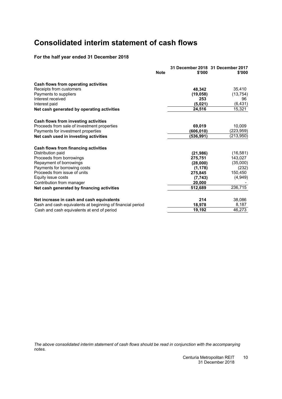# <span id="page-11-0"></span>**Consolidated interim statement of cash flows**

### **For the half year ended 31 December 2018**

|                                                            | <b>Note</b> | \$'000    | 31 December 2018 31 December 2017<br>\$'000 |
|------------------------------------------------------------|-------------|-----------|---------------------------------------------|
| Cash flows from operating activities                       |             |           |                                             |
| Receipts from customers                                    |             | 48.342    | 35,410                                      |
| Payments to suppliers                                      |             | (19, 058) | (13, 754)                                   |
| Interest received                                          |             | 253       | 96                                          |
| Interest paid                                              |             | (5,021)   | (6, 431)                                    |
| Net cash generated by operating activities                 |             | 24,516    | 15,321                                      |
| Cash flows from investing activities                       |             |           |                                             |
| Proceeds from sale of investment properties                |             | 69,019    | 10,009                                      |
| Payments for investment properties                         |             | (606,010) | (223,959)                                   |
| Net cash used in investing activities                      |             | (536,991) | (213,950)                                   |
| Cash flows from financing activities                       |             |           |                                             |
| Distribution paid                                          |             | (21, 986) | (16, 581)                                   |
| Proceeds from borrowings                                   |             | 275,751   | 143,027                                     |
| Repayment of borrowings                                    |             | (28,000)  | (35,000)                                    |
| Payments for borrowing costs                               |             | (1, 178)  | (232)                                       |
| Proceeds from issue of units                               |             | 275,845   | 150,450                                     |
| Equity issue costs                                         |             | (7, 743)  | (4,949)                                     |
| Contribution from manager                                  |             | 20,000    |                                             |
| Net cash generated by financing activities                 |             | 512,689   | 236,715                                     |
| Net increase in cash and cash equivalents                  |             | 214       | 38,086                                      |
| Cash and cash equivalents at beginning of financial period |             | 18,978    | 8,187                                       |
| Cash and cash equivalents at end of period                 |             | 19,192    | 46,273                                      |

*The above consolidated interim statement of cash flows should be read in conjunction with the accompanying notes.*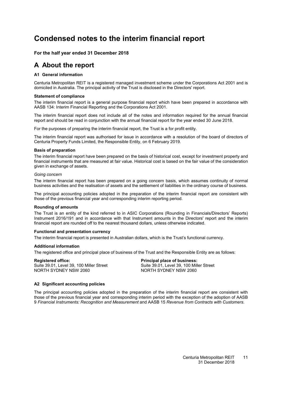# <span id="page-12-4"></span><span id="page-12-0"></span>**Condensed notes to the interim financial report**

#### <span id="page-12-1"></span>**For the half year ended 31 December 2018**

### <span id="page-12-2"></span>**A About the report**

#### **[A1](#page-12-2) General information**

Centuria Metropolitan REIT is a registered managed investment scheme under the Corporations Act 2001 and is domiciled in Australia. The principal activity of the Trust is disclosed in the Directors' report.

#### **Statement of compliance**

The interim financial report is a general purpose financial report which have been prepared in accordance with AASB 134: Interim Financial Reporting and the Corporations Act 2001.

The interim financial report does not include all of the notes and information required for the annual financial report and should be read in conjunction with the annual financial report for the year ended 30 June 2018.

For the purposes of preparing the interim financial report, the Trust is a for profit entity.

The interim financial report was authorised for issue in accordance with a resolution of the board of directors of Centuria Property Funds Limited, the Responsible Entity, on 6 February 2019.

#### **Basis of preparation**

The interim financial report have been prepared on the basis of historical cost, except for investment property and financial instruments that are measured at fair value. Historical cost is based on the fair value of the consideration given in exchange of assets.

#### *Going concern*

The interim financial report has been prepared on a going concern basis, which assumes continuity of normal business activities and the realisation of assets and the settlement of liabilities in the ordinary course of business.

The principal accounting policies adopted in the preparation of the interim financial report are consistent with those of the previous financial year and corresponding interim reporting period.

#### **Rounding of amounts**

The Trust is an entity of the kind referred to in ASIC Corporations (Rounding in Financials/Directors' Reports) Instrument 2016/191 and in accordance with that Instrument amounts in the Directors' report and the interim financial report are rounded off to the nearest thousand dollars, unless otherwise indicated.

#### **Functional and presentation currency**

The interim financial report is presented in Australian dollars, which is the Trust's functional currency.

#### **Additional information**

The registered office and principal place of business of the Trust and the Responsible Entity are as follows:

<span id="page-12-3"></span>**Registered office: Principal place of business:** Suite 39.01, Level 39, 100 Miller Street Suite 39.01, Level 39, 100 Miller Street<br>
Suite 39.01, Level 39, 100 Miller Street<br>
NORTH SYDNFY NSW 2060 NORTH SYDNEY NSW 2060

#### **[A2](#page-12-3) Significant accounting policies**

The principal accounting policies adopted in the preparation of the interim financial report are consistent with those of the previous financial year and corresponding interim period with the exception of the adoption of AASB 9 *Financial Instruments: Recognition and Measurement* and AASB 15 *Revenue from Contracts with Customers*.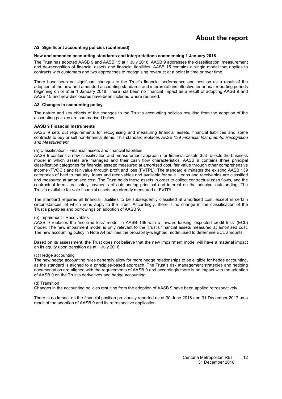## **About the report**

#### **[A2](#page-12-3) Significant accounting policies (continued)**

#### **New and amended accounting standards and interpretations commencing 1 January 2018**

The Trust has adopted AASB 9 and AASB 15 at 1 July 2018. AASB 9 addresses the classification, measurement and de-recognition of financial assets and financial liabilities. AASB 15 contains a single model that applies to contracts with customers and two approaches to recognising revenue: at a point in time or over time.

There have been no significant changes to the Trust's financial performance and position as a result of the adoption of the new and amended accounting standards and interpretations effective for annual reporting periods beginning on or after 1 January 2018. There has been no financial impact as a result of adopting AASB 9 and AASB 15 and new disclosures have been included where required.

#### <span id="page-13-0"></span>**[A3](#page-13-0) Changes in accounting policy**

The nature and key effects of the changes to the Trust's accounting policies resulting from the adoption of the accounting policies are summarised below.

#### **AASB 9 Financial Instruments**

AASB 9 sets out requirements for recognising and measuring financial assets, financial liabilities and some contracts to buy or sell non-financial items. This standard replaces AASB 139 *Financial Instruments: Recognition and Measurement*.

#### (a) Classification - Financial assets and financial liabilities

AASB 9 contains a new classification and measurement approach for financial assets that reflects the business model in which assets are managed and their cash flow characteristics. AASB 9 contains three principal classification categories for financial assets: measured at amortised cost, fair value through other comprehensive income (FVOCI) and fair value through profit and loss (FVTPL). The standard eliminates the existing AASB 139 categories of held to maturity, loans and receivables and available for sale. Loans and receivables are classified and measured at amortised cost. The Trust holds these assets in order to collect contractual cash flows, and the contractual terms are solely payments of outstanding principal and interest on the principal outstanding. The Trust's available for sale financial assets are already measured at FVTPL.

The standard requires all financial liabilities to be subsequently classified at amortised cost, except in certain circumstances, of which none apply to the Trust. Accordingly, there is no change in the classification of the Trust's payables and borrowings on adoption of AASB 9.

#### (b) Impairment - Receivables

AASB 9 replaces the 'incurred loss' model in AASB 139 with a forward-looking 'expected credit loss' (ECL) model. The new impairment model is only relevant to the Trust's financial assets measured at amortised cost. The new accounting policy in Note [A4](#page-14-0) outlines the probability-weighted model used to determine ECL amounts.

Based on its assessment, the Trust does not believe that the new impairment model will have a material impact on its equity upon transition as at 1 July 2018.

#### (c) Hedge accounting

The new hedge accounting rules generally allow for more hedge relationships to be eligible for hedge accounting, as the standard is aligned to a principles-based approach. The Trust's risk management strategies and hedging documentation are aligned with the requirements of AASB 9 and accordingly there is no impact with the adoption of AASB 9 on the Trust's derivatives and hedge accounting.

#### (d) Transition

Changes in the accounting policies resulting from the adoption of AASB 9 have been applied retrospectively.

There is no impact on the financial position previously reported as at 30 June 2018 and 31 December 2017 as a result of the adoption of AASB 9 and its retrospective application.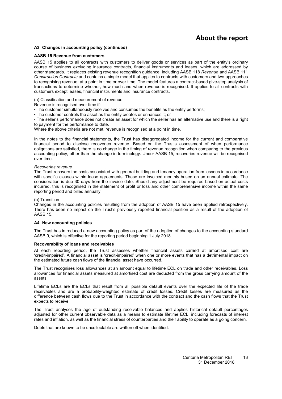# **About the report**

#### **[A3](#page-13-0) Changes in accounting policy (continued)**

#### **AASB 15 Revenue from customers**

AASB 15 applies to all contracts with customers to deliver goods or services as part of the entity's ordinary course of business excluding insurance contracts, financial instruments and leases, which are addressed by other standards. It replaces existing revenue recognition guidance, including AASB 118 *Revenue* and AASB 111 *Construction Contracts* and contains a single model that applies to contracts with customers and two approaches to recognising revenue: at a point in time or over time. The model features a contract-based give-step analysis of transactions to determine whether, how much and when revenue is recognised. It applies to all contracts with customers except leases, financial instruments and insurance contracts.

(a) Classification and measurement of revenue

- Revenue is recognised over time if:
- The customer simultaneously receives and consumes the benefits as the entity performs;
- The customer controls the asset as the entity creates or enhances it; or

• The seller's performance does not create an asset for which the seller has an alternative use and there is a right to payment for the performance to date.

Where the above criteria are not met, revenue is recognised at a point in time.

In the notes to the financial statements, the Trust has disaggregated income for the current and comparative financial period to disclose recoveries revenue. Based on the Trust's assessment of when performance obligations are satisfied, there is no change in the timing of revenue recognition when comparing to the previous accounting policy, other than the change in terminology. Under AASB 15, recoveries revenue will be recognised over time.

#### *Recoveries revenue*

The Trust recovers the costs associated with general building and tenancy operation from lessees in accordance with specific clauses within lease agreements. These are invoiced monthly based on an annual estimate. The consideration is due 30 days from the invoice date. Should any adjustment be required based on actual costs incurred, this is recognised in the statement of profit or loss and other comprehensive income within the same reporting period and billed annually.

#### (b) Transition

Changes in the accounting policies resulting from the adoption of AASB 15 have been applied retrospectively. There has been no impact on the Trust's previously reported financial position as a result of the adoption of AASB 15.

#### <span id="page-14-0"></span>**[A4](#page-14-0) New accounting policies**

The Trust has introduced a new accounting policy as part of the adoption of changes to the accounting standard AASB 9, which is effective for the reporting period beginning 1 July 2018

#### **Recoverability of loans and receivables**

At each reporting period, the Trust assesses whether financial assets carried at amortised cost are 'credit-impaired'. A financial asset is 'credit-impaired' when one or more events that has a detrimental impact on the estimated future cash flows of the financial asset have occurred.

The Trust recognises loss allowances at an amount equal to lifetime ECL on trade and other receivables. Loss allowances for financial assets measured at amortised cost are deducted from the gross carrying amount of the assets.

Lifetime ECLs are the ECLs that result from all possible default events over the expected life of the trade receivables and are a probability-weighted estimate of credit losses. Credit losses are measured as the difference between cash flows due to the Trust in accordance with the contract and the cash flows that the Trust expects to receive.

The Trust analyses the age of outstanding receivable balances and applies historical default percentages adjusted for other current observable data as a means to estimate lifetime ECL, including forecasts of interest rates and inflation, as well as the financial stress of counterparties and their ability to operate as a going concern.

Debts that are known to be uncollectable are written off when identified.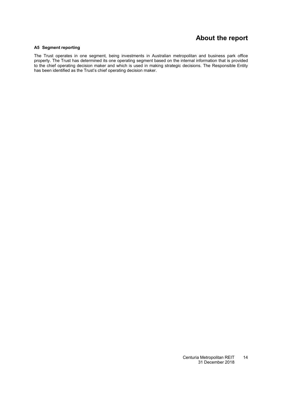### **About the report**

#### <span id="page-15-0"></span>**[A5](#page-15-0) Segment reporting**

The Trust operates in one segment, being investments in Australian metropolitan and business park office property. The Trust has determined its one operating segment based on the internal information that is provided to the chief operating decision maker and which is used in making strategic decisions. The Responsible Entity has been identified as the Trust's chief operating decision maker.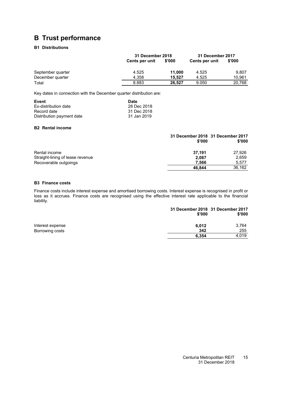# <span id="page-16-1"></span><span id="page-16-0"></span>**B Trust performance**

### **[B1](#page-16-1) Distributions**

|                   |                | 31 December 2018 |                | 31 December 2017 |
|-------------------|----------------|------------------|----------------|------------------|
|                   | Cents per unit | \$'000           | Cents per unit | \$'000           |
| September quarter | 4.525          | 11.000           | 4.525          | 9.807            |
| December quarter  | 4.358          | 15.527           | 4.525          | 10.961           |
| Total             | 8.883          | 26.527           | 9.050          | 20,768           |

Key dates in connection with the December quarter distribution are:

| Event                     | Date        |
|---------------------------|-------------|
| Ex-distribution date      | 28 Dec 2018 |
| Record date               | 31 Dec 2018 |
| Distribution payment date | 31 Jan 2019 |

#### <span id="page-16-2"></span>**[B2](#page-16-2) Rental income**

|                                  | 31 December 2018 31 December 2017<br>\$'000 | \$'000 |
|----------------------------------|---------------------------------------------|--------|
| Rental income                    | 37.191                                      | 27,926 |
| Straight-lining of lease revenue | 2,087                                       | 2,659  |
| Recoverable outgoings            | 7.566                                       | 5,577  |
|                                  | 46.844                                      | 36,162 |

#### <span id="page-16-3"></span>**[B3](#page-16-3) Finance costs**

Finance costs include interest expense and amortised borrowing costs. Interest expense is recognised in profit or loss as it accrues. Finance costs are recognised using the effective interest rate applicable to the financial liability.

|                  | 31 December 2018 31 December 2017<br>\$'000 | \$'000 |
|------------------|---------------------------------------------|--------|
| Interest expense | 6.012                                       | 3,764  |
| Borrowing costs  | 342                                         | 255    |
|                  | 6.354                                       | 4.019  |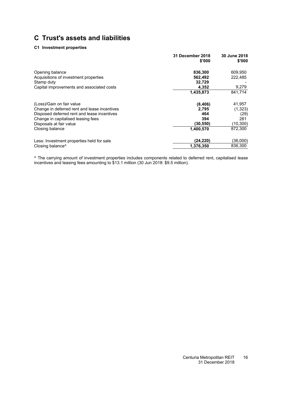# **C Trust's assets and liabilities**

#### **[C1](#page-12-0) Investment properties**

|                                              | 31 December 2018<br>\$'000 | 30 June 2018<br>\$'000 |
|----------------------------------------------|----------------------------|------------------------|
| Opening balance                              | 836,300                    | 609,950                |
| Acquisitions of investment properties        | 562,492                    | 222,485                |
| Stamp duty                                   | 32,729                     |                        |
| Capital improvements and associated costs    | 4,352                      | 9,279                  |
|                                              | 1,435,873                  | 841,714                |
| (Loss)/Gain on fair value                    | (8, 406)                   | 41,957                 |
| Change in deferred rent and lease incentives | 2,795                      | (1, 323)               |
| Disposed deferred rent and lease incentives  | 464                        | (29)                   |
| Change in capitalised leasing fees           | 394                        | 281                    |
| Disposals at fair value                      | (30,550)                   | (10, 300)              |
| Closing balance                              | 1,400,570                  | 872,300                |
| Less: Investment properties held for sale    | (24, 220)                  | (36,000)               |
| Closing balance <sup>^</sup>                 | 1,376,350                  | 836,300                |

^ The carrying amount of investment properties includes components related to deferred rent, capitalised lease incentives and leasing fees amounting to \$13.1 million (30 Jun 2018: \$9.5 million).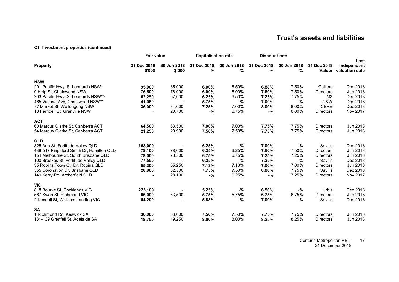# **Trust's assets and liabilities**

#### **[C1](#page-12-4) Investment properties (continued)**

|                                                                                                                                                                                                                                                                                     | <b>Fair value</b>                                         |                                                | <b>Capitalisation rate</b>                               |                                                             | <b>Discount rate</b>                                     |                                                          |                                                                                                               |                                                                                  |
|-------------------------------------------------------------------------------------------------------------------------------------------------------------------------------------------------------------------------------------------------------------------------------------|-----------------------------------------------------------|------------------------------------------------|----------------------------------------------------------|-------------------------------------------------------------|----------------------------------------------------------|----------------------------------------------------------|---------------------------------------------------------------------------------------------------------------|----------------------------------------------------------------------------------|
| <b>Property</b>                                                                                                                                                                                                                                                                     | 31 Dec 2018<br>\$'000                                     | 30 Jun 2018<br>\$'000                          | 31 Dec 2018<br>%                                         | 30 Jun 2018<br>%                                            | 31 Dec 2018<br>%                                         | 30 Jun 2018<br>%                                         | 31 Dec 2018<br>Valuer                                                                                         | Last<br>independent<br>valuation date                                            |
| <b>NSW</b><br>201 Pacific Hwy, St Leonards NSW*<br>9 Help St, Chatswood NSW<br>203 Pacific Hwy, St Leonards NSW*^<br>465 Victoria Ave, Chatswood NSW**<br>77 Market St, Wollongong NSW                                                                                              | 95,000<br>76,500<br>62,250<br>41,050<br>36,000            | 85,000<br>76,000<br>57,000<br>34,600           | 6.00%<br>6.00%<br>6.25%<br>5.75%<br>7.25%                | 6.50%<br>6.00%<br>6.50%<br>$-$ %<br>7.00%                   | 6.88%<br>7.50%<br>7.25%<br>7.00%<br>8.00%                | 7.50%<br>7.50%<br>7.75%<br>$-$ %<br>8.00%                | Colliers<br><b>Directors</b><br>M <sub>3</sub><br>C&W<br><b>CBRE</b>                                          | Dec 2018<br>Jun 2018<br>Dec 2018<br>Dec 2018<br>Dec 2018                         |
| 13 Ferndell St, Granville NSW<br><b>ACT</b><br>60 Marcus Clarke St, Canberra ACT<br>54 Marcus Clarke St, Canberra ACT                                                                                                                                                               | 64,500<br>21,250                                          | 20,700<br>63,500<br>20,900                     | $-%$<br>7.00%<br>7.50%                                   | 6.75%<br>7.00%<br>7.50%                                     | -%<br>7.75%<br>7.75%                                     | 8.00%<br>7.75%<br>7.75%                                  | <b>Directors</b><br><b>Directors</b><br><b>Directors</b>                                                      | Nov 2017<br>Jun 2018<br>Jun 2018                                                 |
| <b>QLD</b><br>825 Ann St, Fortitude Valley QLD<br>438-517 Kingsford Smith Dr, Hamilton QLD<br>154 Melbourne St, South Brisbane QLD<br>100 Brookes St, Fortitude Valley QLD<br>35 Robina Town Ctr Dr, Robina QLD<br>555 Coronation Dr, Brisbane QLD<br>149 Kerry Rd, Archerfield QLD | 163,000<br>78,100<br>78,000<br>77,550<br>55,300<br>28,800 | 78,000<br>78,500<br>55,250<br>32,500<br>28,100 | 6.25%<br>6.25%<br>6.75%<br>6.25%<br>7.13%<br>7.75%<br>-% | $-$ %<br>6.25%<br>6.75%<br>$-$ %<br>7.13%<br>7.50%<br>6.25% | 7.00%<br>7.50%<br>7.25%<br>7.25%<br>7.00%<br>8.00%<br>-% | -%<br>7.50%<br>7.25%<br>$-$ %<br>7.00%<br>7.75%<br>7.25% | Savills<br><b>Directors</b><br><b>Directors</b><br>Savills<br><b>Directors</b><br>Savills<br><b>Directors</b> | Dec 2018<br>Jun 2018<br>Jun 2018<br>Dec 2018<br>Jun 2018<br>Dec 2018<br>Nov 2017 |
| <b>VIC</b><br>818 Bourke St, Docklands VIC<br>567 Swan St, Richmond VIC<br>2 Kendall St, Williams Landing VIC                                                                                                                                                                       | 223,100<br>66,000<br>64,200                               | 63,500                                         | 5.25%<br>5.75%<br>5.88%                                  | -%<br>5.75%<br>$-$ %                                        | 6.50%<br>6.75%<br>7.00%                                  | -%<br>6.75%<br>$-$ %                                     | <b>Urbis</b><br><b>Directors</b><br>Savills                                                                   | Dec 2018<br>Jun 2018<br>Dec 2018                                                 |
| <b>SA</b><br>1 Richmond Rd, Keswick SA<br>131-139 Grenfell St, Adelaide SA                                                                                                                                                                                                          | 36,000<br>18,750                                          | 33,000<br>19,250                               | 7.50%<br>8.00%                                           | 7.50%<br>8.00%                                              | 7.75%<br>8.25%                                           | 7.75%<br>8.25%                                           | <b>Directors</b><br><b>Directors</b>                                                                          | Jun 2018<br>Jun 2018                                                             |

Centuria Metropolitan REIT 31 December 2018 17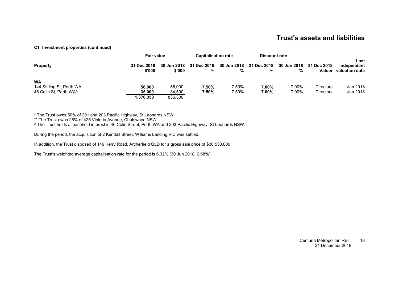### **Trust's assets and liabilities**

#### **[C1](#page-12-4) Investment properties (continued)**

|                           | <b>Fair value</b>     |                       | <b>Capitalisation rate</b> |       | <b>Discount rate</b>         |                  |                              |                                       |
|---------------------------|-----------------------|-----------------------|----------------------------|-------|------------------------------|------------------|------------------------------|---------------------------------------|
| <b>Property</b>           | 31 Dec 2018<br>\$'000 | 30 Jun 2018<br>\$'000 | 31 Dec 2018<br>%           | %     | 30 Jun 2018 31 Dec 2018<br>% | 30 Jun 2018<br>% | 31 Dec 2018<br><b>Valuer</b> | Last<br>independent<br>valuation date |
| <b>WA</b>                 |                       |                       |                            |       |                              |                  |                              |                                       |
| 144 Stirling St, Perth WA | 56.000                | 56,000                | 7.50%                      | 7.50% | 7.00%                        | 7.00%            | <b>Directors</b>             | Jun 2018                              |
| 46 Colin St. Perth WA^    | 35,000                | 34,500                | 7.50%                      | 7.50% | 7.00%                        | 7.00%            | <b>Directors</b>             | Jun 2018                              |
|                           | 1.376.350             | 836,300               |                            |       |                              |                  |                              |                                       |

\* The Trust owns 50% of 201 and 203 Pacific Highway, St Leonards NSW.

\*\* The Trust owns 25% of 425 Victoria Avenue, Chatswood NSW.

^ The Trust holds a leasehold interest in 46 Colin Street, Perth WA and 203 Pacific Highway, St Leonards NSW.

During the period, the acquisition of 2 Kendall Street, Williams Landing VIC was settled.

In addition, the Trust disposed of 149 Kerry Road, Archerfield QLD for a gross sale price of \$30,550,000.

The Trust's weighted average capitalisation rate for the period is 6.32% (30 Jun 2018: 6.68%).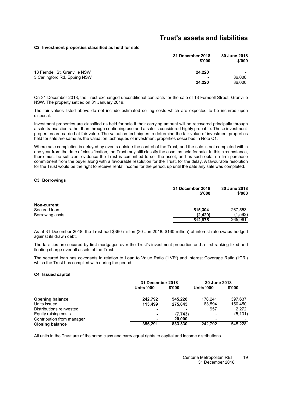### **Trust's assets and liabilities**

#### <span id="page-20-0"></span>**[C2](#page-20-0) Investment properties classified as held for sale**

|                               | 31 December 2018<br>\$'000 | 30 June 2018<br>\$'000 |
|-------------------------------|----------------------------|------------------------|
| 13 Ferndell St, Granville NSW | 24.220                     |                        |
| 3 Carlingford Rd, Epping NSW  | $\overline{\phantom{a}}$   | 36,000                 |
|                               | 24.220                     | 36,000                 |

On 31 December 2018, the Trust exchanged unconditional contracts for the sale of 13 Ferndell Street, Granville NSW. The property settled on 31 January 2019.

The fair values listed above do not include estimated selling costs which are expected to be incurred upon disposal.

Investment properties are classified as held for sale if their carrying amount will be recovered principally through a sale transaction rather than through continuing use and a sale is considered highly probable. These investment properties are carried at fair value. The valuation techniques to determine the fair value of investment properties held for sale are same as the valuation techniques of investment properties described in Note [C1.](#page-12-0)

Where sale completion is delayed by events outside the control of the Trust, and the sale is not completed within one year from the date of classification, the Trust may still classify the asset as held for sale. In this circumstance, there must be sufficient evidence the Trust is committed to sell the asset, and as such obtain a firm purchase commitment from the buyer along with a favourable resolution for the Trust, for the delay. A favourable resolution for the Trust would be the right to receive rental income for the period, up until the date any sale was completed.

#### <span id="page-20-1"></span>**[C3](#page-20-1) Borrowings**

|                    | 31 December 2018<br>\$'000 | 30 June 2018<br>\$'000 |
|--------------------|----------------------------|------------------------|
| <b>Non-current</b> |                            |                        |
| Secured loan       | 515,304                    | 267,553                |
| Borrowing costs    | (2, 429)                   | (1,592)                |
|                    | 512,875                    | 265,961                |

As at 31 December 2018, the Trust had \$360 million (30 Jun 2018: \$160 million) of interest rate swaps hedged against its drawn debt.

The facilities are secured by first mortgages over the Trust's investment properties and a first ranking fixed and floating charge over all assets of the Trust.

<span id="page-20-2"></span>The secured loan has covenants in relation to Loan to Value Ratio ('LVR') and Interest Coverage Ratio ('ICR') which the Trust has complied with during the period.

#### **[C4](#page-20-2) Issued capital**

|                           | 31 December 2018  |         | 30 June 2018      |          |
|---------------------------|-------------------|---------|-------------------|----------|
|                           | <b>Units '000</b> | \$'000  | <b>Units '000</b> | \$'000   |
| <b>Opening balance</b>    | 242.792           | 545.228 | 178.241           | 397.637  |
| Units issued              | 113,499           | 275.845 | 63,594            | 150,450  |
| Distributions reinvested  |                   | -       | 957               | 2.272    |
| Equity raising costs      |                   | (7,743) | $\blacksquare$    | (5, 131) |
| Contribution from manager | -                 | 20,000  | $\blacksquare$    |          |
| <b>Closing balance</b>    | 356,291           | 833,330 | 242.792           | 545.228  |

All units in the Trust are of the same class and carry equal rights to capital and income distributions.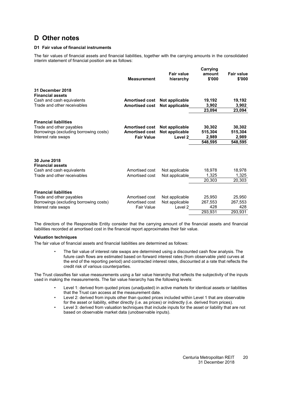# <span id="page-21-1"></span><span id="page-21-0"></span>**D Other notes**

#### **[D1](#page-21-1) Fair value of financial instruments**

The fair values of financial assets and financial liabilities, together with the carrying amounts in the consolidated interim statement of financial position are as follows:

| 31 December 2018<br><b>Financial assets</b><br>Cash and cash equivalents                                                  | <b>Measurement</b><br><b>Amortised cost</b>                         | <b>Fair value</b><br>hierarchy<br>Not applicable       | Carrying<br>amount<br>\$'000<br>19,192 | <b>Fair value</b><br>\$'000<br>19,192 |
|---------------------------------------------------------------------------------------------------------------------------|---------------------------------------------------------------------|--------------------------------------------------------|----------------------------------------|---------------------------------------|
| Trade and other receivables                                                                                               | <b>Amortised cost</b>                                               | Not applicable                                         | 3,902<br>23,094                        | 3,902<br>23,094                       |
| <b>Financial liabilities</b><br>Trade and other payables<br>Borrowings (excluding borrowing costs)<br>Interest rate swaps | <b>Amortised cost</b><br><b>Amortised cost</b><br><b>Fair Value</b> | Not applicable<br>Not applicable<br>Level <sub>2</sub> | 30,302<br>515,304<br>2,989<br>548,595  | 30,302<br>515,304<br>2,989<br>548.595 |
| 30 June 2018<br><b>Financial assets</b><br>Cash and cash equivalents<br>Trade and other receivables                       | Amortised cost<br>Amortised cost                                    | Not applicable<br>Not applicable                       | 18,978<br>1.325<br>20,303              | 18,978<br>1,325<br>20,303             |
| <b>Financial liabilities</b><br>Trade and other payables<br>Borrowings (excluding borrowing costs)<br>Interest rate swaps | Amortised cost<br>Amortised cost<br><b>Fair Value</b>               | Not applicable<br>Not applicable<br>Level 2            | 25,950<br>267.553<br>428<br>293,931    | 25,950<br>267,553<br>428<br>293,931   |

The directors of the Responsible Entity consider that the carrying amount of the financial assets and financial liabilities recorded at amortised cost in the financial report approximates their fair value.

#### **Valuation techniques**

The fair value of financial assets and financial liabilities are determined as follows:

• The fair value of interest rate swaps are determined using a discounted cash flow analysis. The future cash flows are estimated based on forward interest rates (from observable yield curves at the end of the reporting period) and contracted interest rates, discounted at a rate that reflects the credit risk of various counterparties.

The Trust classifies fair value measurements using a fair value hierarchy that reflects the subjectivity of the inputs used in making the measurements. The fair value hierarchy has the following levels:

- Level 1: derived from quoted prices (unadjusted) in active markets for identical assets or liabilities that the Trust can access at the measurement date.
- Level 2: derived from inputs other than quoted prices included within Level 1 that are observable for the asset or liability, either directly (i.e. as prices) or indirectly (i.e. derived from prices).
- Level 3: derived from valuation techniques that include inputs for the asset or liability that are not based on observable market data (unobservable inputs).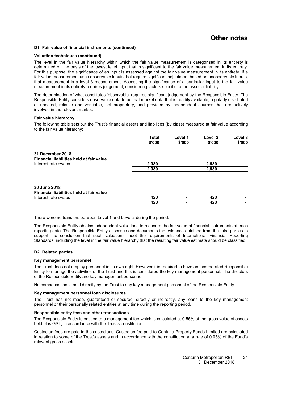### **Other notes**

#### **[D1](#page-21-1) Fair value of financial instruments (continued)**

#### **Valuation techniques (continued)**

The level in the fair value hierarchy within which the fair value measurement is categorised in its entirety is determined on the basis of the lowest level input that is significant to the fair value measurement in its entirety. For this purpose, the significance of an input is assessed against the fair value measurement in its entirety. If a fair value measurement uses observable inputs that require significant adjustment based on unobservable inputs, that measurement is a level 3 measurement. Assessing the significance of a particular input to the fair value measurement in its entirety requires judgement, considering factors specific to the asset or liability.

The determination of what constitutes 'observable' requires significant judgement by the Responsible Entity. The Responsible Entity considers observable data to be that market data that is readily available, regularly distributed or updated, reliable and verifiable, not proprietary, and provided by independent sources that are actively involved in the relevant market.

#### **Fair value hierarchy**

The following table sets out the Trust's financial assets and liabilities (by class) measured at fair value according to the fair value hierarchy:

|                                          | <b>Total</b><br>\$'000 | Level 1<br>\$'000 | Level <sub>2</sub><br>\$'000 | Level 3<br>\$'000 |
|------------------------------------------|------------------------|-------------------|------------------------------|-------------------|
| 31 December 2018                         |                        |                   |                              |                   |
| Financial liabilities held at fair value |                        |                   |                              |                   |
| Interest rate swaps                      | 2,989                  | ۰                 | 2,989                        |                   |
|                                          | 2,989                  |                   | 2,989                        |                   |
| 30 June 2018                             |                        |                   |                              |                   |
| Financial liabilities held at fair value |                        |                   |                              |                   |
| Interest rate swaps                      | 428                    |                   | 428                          |                   |
|                                          | 428                    |                   | 428                          |                   |

There were no transfers between Level 1 and Level 2 during the period.

The Responsible Entity obtains independent valuations to measure the fair value of financial instruments at each reporting date. The Responsible Entity assesses and documents the evidence obtained from the third parties to support the conclusion that such valuations meet the requirements of International Financial Reporting Standards, including the level in the fair value hierarchy that the resulting fair value estimate should be classified.

#### <span id="page-22-0"></span>**[D2](#page-22-0) Related parties**

#### **Key management personnel**

The Trust does not employ personnel in its own right. However it is required to have an incorporated Responsible Entity to manage the activities of the Trust and this is considered the key management personnel. The directors of the Responsible Entity are key management personnel.

No compensation is paid directly by the Trust to any key management personnel of the Responsible Entity.

#### **Key management personnel loan disclosures**

The Trust has not made, guaranteed or secured, directly or indirectly, any loans to the key management personnel or their personally related entities at any time during the reporting period.

#### **Responsible entity fees and other transactions**

The Responsible Entity is entitled to a management fee which is calculated at 0.55% of the gross value of assets held plus GST, in accordance with the Trust's constitution.

Custodian fees are paid to the custodians. Custodian fee paid to Centuria Property Funds Limited are calculated in relation to some of the Trust's assets and in accordance with the constitution at a rate of 0.05% of the Fund's relevant gross assets.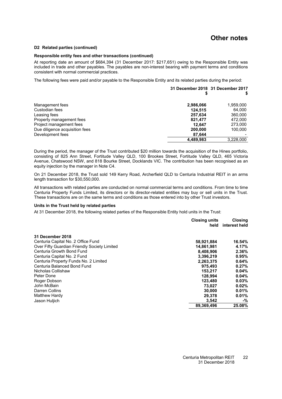### **Other notes**

#### **[D2](#page-22-0) Related parties (continued)**

#### **Responsible entity fees and other transactions (continued)**

At reporting date an amount of \$684,394 (31 December 2017: \$217,651) owing to the Responsible Entity was included in trade and other payables. The payables are non-interest bearing with payment terms and conditions consistent with normal commercial practices.

The following fees were paid and/or payable to the Responsible Entity and its related parties during the period:

|                                | 31 December 2018 31 December 2017 |           |
|--------------------------------|-----------------------------------|-----------|
| Management fees                | 2,986,066                         | 1,959,000 |
| Custodian fees                 | 124.515                           | 64.000    |
| Leasing fees                   | 257.634                           | 360,000   |
| Property management fees       | 821.477                           | 472,000   |
| Project management fees        | 12.647                            | 273,000   |
| Due diligence acquisition fees | 200,000                           | 100.000   |
| Development fees               | 87.644                            |           |
|                                | 4,489,983                         | 3,228,000 |

During the period, the manager of the Trust contributed \$20 million towards the acquisition of the Hines portfolio, consisting of 825 Ann Street, Fortitude Valley QLD, 100 Brookes Street, Fortitude Valley QLD, 465 Victoria Avenue, Chatswood NSW, and 818 Bourke Street, Docklands VIC. The contribution has been recognised as an equity injection by the manager in Note [C4.](#page-20-2)

On 21 December 2018, the Trust sold 149 Kerry Road, Archerfield QLD to Centuria Industrial REIT in an arms length transaction for \$30,550,000.

All transactions with related parties are conducted on normal commercial terms and conditions. From time to time Centuria Property Funds Limited, its directors or its director-related entities may buy or sell units in the Trust. These transactions are on the same terms and conditions as those entered into by other Trust investors.

#### **Units in the Trust held by related parties**

At 31 December 2018, the following related parties of the Responsible Entity hold units in the Trust:

|                                              | <b>Closing units</b><br>held | <b>Closing</b><br>interest held |
|----------------------------------------------|------------------------------|---------------------------------|
| <b>31 December 2018</b>                      |                              |                                 |
| Centuria Capital No. 2 Office Fund           | 58,921,884                   | 16.54%                          |
| Over Fifty Guardian Friendly Society Limited | 14,861,981                   | 4.17%                           |
| Centuria Growth Bond Fund                    | 8,408,906                    | 2.36%                           |
| Centuria Capital No. 2 Fund                  | 3,396,219                    | 0.95%                           |
| Centuria Property Funds No. 2 Limited        | 2,263,375                    | 0.64%                           |
| Centuria Balanced Bond Fund                  | 975.493                      | 0.27%                           |
| Nicholas Collishaw                           | 153.217                      | 0.04%                           |
| Peter Done                                   | 128.994                      | 0.04%                           |
| Roger Dobson                                 | 123,480                      | 0.03%                           |
| John McBain                                  | 73.027                       | 0.02%                           |
| Darren Collins                               | 30,000                       | 0.01%                           |
| Matthew Hardy                                | 29,378                       | 0.01%                           |
| Jason Huljich                                | 3,542                        | -%                              |
|                                              | 89,369,496                   | 25.08%                          |
|                                              |                              |                                 |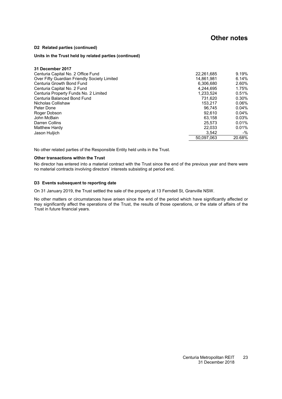### **Other notes**

#### **[D2](#page-22-0) Related parties (continued)**

#### **Units in the Trust held by related parties (continued)**

| 31 December 2017                             |            |        |
|----------------------------------------------|------------|--------|
| Centuria Capital No. 2 Office Fund           | 22,261,685 | 9.19%  |
| Over Fifty Guardian Friendly Society Limited | 14,861,981 | 6.14%  |
| Centuria Growth Bond Fund                    | 6.306.680  | 2.60%  |
| Centuria Capital No. 2 Fund                  | 4,244,695  | 1.75%  |
| Centuria Property Funds No. 2 Limited        | 1.233.524  | 0.51%  |
| Centuria Balanced Bond Fund                  | 731.620    | 0.30%  |
| Nicholas Collishaw                           | 153.217    | 0.06%  |
| Peter Done                                   | 96.745     | 0.04%  |
| Roger Dobson                                 | 92.610     | 0.04%  |
| John McBain                                  | 63.158     | 0.03%  |
| Darren Collins                               | 25.573     | 0.01%  |
| Matthew Hardy                                | 22.033     | 0.01%  |
| Jason Huljich                                | 3.542      | $-$ %  |
|                                              | 50.097.063 | 20.68% |

No other related parties of the Responsible Entity held units in the Trust.

#### **Other transactions within the Trust**

<span id="page-24-0"></span>No director has entered into a material contract with the Trust since the end of the previous year and there were no material contracts involving directors' interests subsisting at period end.

#### **[D3](#page-24-0) Events subsequent to reporting date**

On 31 January 2019, the Trust settled the sale of the property at 13 Ferndell St, Granville NSW.

No other matters or circumstances have arisen since the end of the period which have significantly affected or may significantly affect the operations of the Trust, the results of those operations, or the state of affairs of the Trust in future financial years.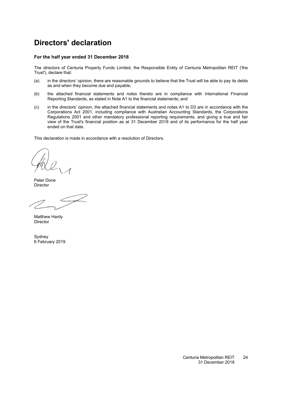# <span id="page-25-0"></span>**Directors' declaration**

#### **For the half year ended 31 December 2018**

The directors of Centuria Property Funds Limited, the Responsible Entity of Centuria Metropolitan REIT ('the Trust'), declare that:

- (a) in the directors' opinion, there are reasonable grounds to believe that the Trust will be able to pay its debts as and when they become due and payable;
- (b) the attached financial statements and notes thereto are in compliance with International Financial Reporting Standards, as stated in Note [A1](#page-12-2) to the financial statements; and
- (c) in the directors' opinion, the attached financial statements and notes [A1](#page-12-2) to D3 are in accordance with the Corporations Act 2001, including compliance with Australian Accounting Standards, the Corporations Regulations 2001 and other mandatory professional reporting requirements, and giving a true and fair view of the Trust's financial position as at 31 December 2018 and of its performance for the half year ended on that date.

This declaration is made in accordance with a resolution of Directors.

Peter Done Director

Matthew Hardy Director

**Sydney** 6 February 2019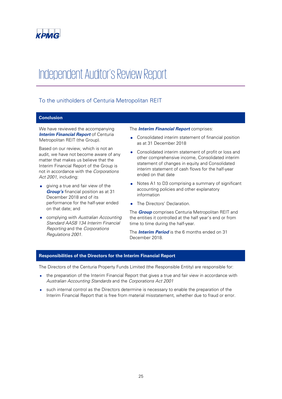

# Independent Auditor's Review Report

### To the unitholders of Centuria Metropolitan REIT

#### **Conclusion**

We have reviewed the accompanying **Interim Financial Report** of Centuria Metropolitan REIT (the Group).

Based on our review, which is not an audit, we have not become aware of any matter that makes us believe that the Interim Financial Report of the Group is not in accordance with the Corporations Act 2001, including:

- giving a true and fair view of the **Group's** financial position as at 31 December 2018 and of its performance for the half-year ended on that date; and
- complying with Australian Accounting Standard AASB 134 Interim Financial Reporting and the Corporations Regulations 2001.

#### The **Interim Financial Report** comprises:

- Consolidated interim statement of financial position as at 31 December 2018
- Consolidated interim statement of profit or loss and other comprehensive income, Consolidated interim statement of changes in equity and Consolidated interim statement of cash flows for the half-year ended on that date
- Notes A1 to D3 comprising a summary of significant accounting policies and other explanatory information
- The Directors' Declaration.

The **Group** comprises Centuria Metropolitan REIT and the entities it controlled at the half year's end or from time to time during the half-year.

The **Interim Period** is the 6 months ended on 31 December 2018.

#### **Responsibilities of the Directors for the Interim Financial Report**

The Directors of the Centuria Property Funds Limited (the Responsible Entity) are responsible for:

- the preparation of the Interim Financial Report that gives a true and fair view in accordance with Australian Accounting Standards and the Corporations Act 2001
- such internal control as the Directors determine is necessary to enable the preparation of the Interim Financial Report that is free from material misstatement, whether due to fraud or error.